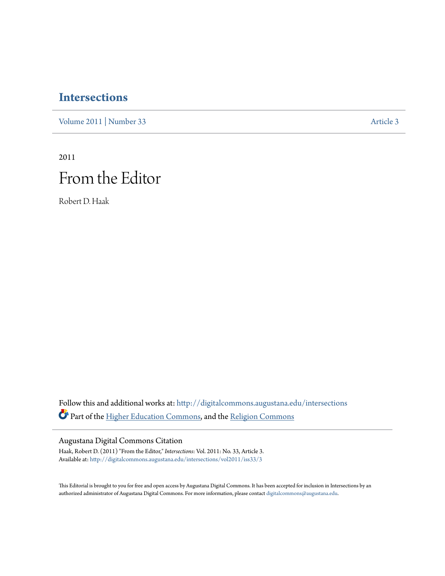## **[Intersections](http://digitalcommons.augustana.edu/intersections?utm_source=digitalcommons.augustana.edu%2Fintersections%2Fvol2011%2Fiss33%2F3&utm_medium=PDF&utm_campaign=PDFCoverPages)**

[Volume 2011](http://digitalcommons.augustana.edu/intersections/vol2011?utm_source=digitalcommons.augustana.edu%2Fintersections%2Fvol2011%2Fiss33%2F3&utm_medium=PDF&utm_campaign=PDFCoverPages) | [Number 33](http://digitalcommons.augustana.edu/intersections/vol2011/iss33?utm_source=digitalcommons.augustana.edu%2Fintersections%2Fvol2011%2Fiss33%2F3&utm_medium=PDF&utm_campaign=PDFCoverPages) [Article 3](http://digitalcommons.augustana.edu/intersections/vol2011/iss33/3?utm_source=digitalcommons.augustana.edu%2Fintersections%2Fvol2011%2Fiss33%2F3&utm_medium=PDF&utm_campaign=PDFCoverPages)

2011 From the Editor

Robert D. Haak

Follow this and additional works at: [http://digitalcommons.augustana.edu/intersections](http://digitalcommons.augustana.edu/intersections?utm_source=digitalcommons.augustana.edu%2Fintersections%2Fvol2011%2Fiss33%2F3&utm_medium=PDF&utm_campaign=PDFCoverPages) Part of the [Higher Education Commons](http://network.bepress.com/hgg/discipline/1245?utm_source=digitalcommons.augustana.edu%2Fintersections%2Fvol2011%2Fiss33%2F3&utm_medium=PDF&utm_campaign=PDFCoverPages), and the [Religion Commons](http://network.bepress.com/hgg/discipline/538?utm_source=digitalcommons.augustana.edu%2Fintersections%2Fvol2011%2Fiss33%2F3&utm_medium=PDF&utm_campaign=PDFCoverPages)

Augustana Digital Commons Citation

Haak, Robert D. (2011) "From the Editor," *Intersections*: Vol. 2011: No. 33, Article 3. Available at: [http://digitalcommons.augustana.edu/intersections/vol2011/iss33/3](http://digitalcommons.augustana.edu/intersections/vol2011/iss33/3?utm_source=digitalcommons.augustana.edu%2Fintersections%2Fvol2011%2Fiss33%2F3&utm_medium=PDF&utm_campaign=PDFCoverPages)

This Editorial is brought to you for free and open access by Augustana Digital Commons. It has been accepted for inclusion in Intersections by an authorized administrator of Augustana Digital Commons. For more information, please contact [digitalcommons@augustana.edu.](mailto:digitalcommons@augustana.edu)